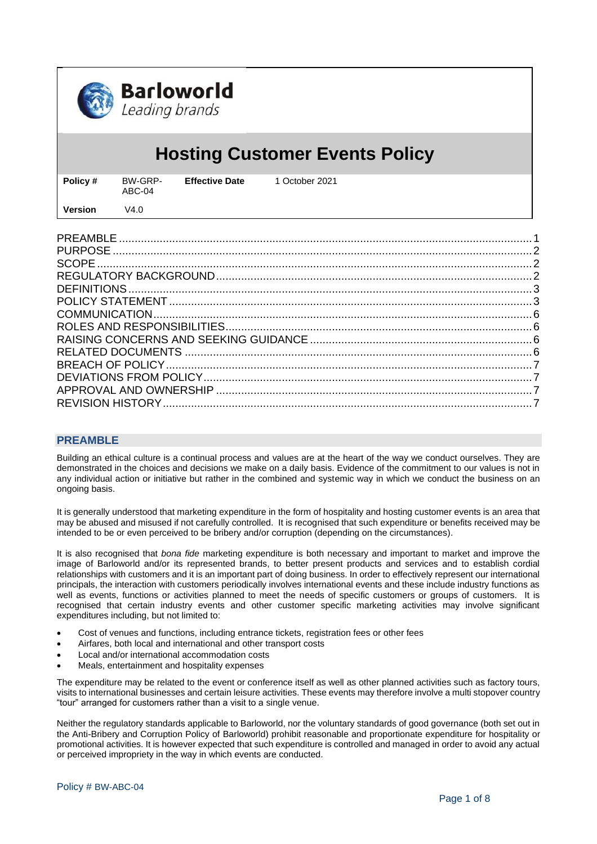

# **Hosting Customer Events Policy**

| Policy # | BW-GRP-<br>ABC-04 | <b>Effective Date</b> | 1 October 2021 |
|----------|-------------------|-----------------------|----------------|
| Version  | V4.0              |                       |                |

# <span id="page-0-0"></span>**PREAMBLE**

Building an ethical culture is a continual process and values are at the heart of the way we conduct ourselves. They are demonstrated in the choices and decisions we make on a daily basis. Evidence of the commitment to our values is not in any individual action or initiative but rather in the combined and systemic way in which we conduct the business on an ongoing basis.

It is generally understood that marketing expenditure in the form of hospitality and hosting customer events is an area that may be abused and misused if not carefully controlled. It is recognised that such expenditure or benefits received may be intended to be or even perceived to be bribery and/or corruption (depending on the circumstances).

It is also recognised that *bona fide* marketing expenditure is both necessary and important to market and improve the image of Barloworld and/or its represented brands, to better present products and services and to establish cordial relationships with customers and it is an important part of doing business. In order to effectively represent our international principals, the interaction with customers periodically involves international events and these include industry functions as well as events, functions or activities planned to meet the needs of specific customers or groups of customers. It is recognised that certain industry events and other customer specific marketing activities may involve significant expenditures including, but not limited to:

- Cost of venues and functions, including entrance tickets, registration fees or other fees
- Airfares, both local and international and other transport costs
- Local and/or international accommodation costs
- Meals, entertainment and hospitality expenses

The expenditure may be related to the event or conference itself as well as other planned activities such as factory tours, visits to international businesses and certain leisure activities. These events may therefore involve a multi stopover country "tour" arranged for customers rather than a visit to a single venue.

Neither the regulatory standards applicable to Barloworld, nor the voluntary standards of good governance (both set out in the Anti-Bribery and Corruption Policy of Barloworld) prohibit reasonable and proportionate expenditure for hospitality or promotional activities. It is however expected that such expenditure is controlled and managed in order to avoid any actual or perceived impropriety in the way in which events are conducted.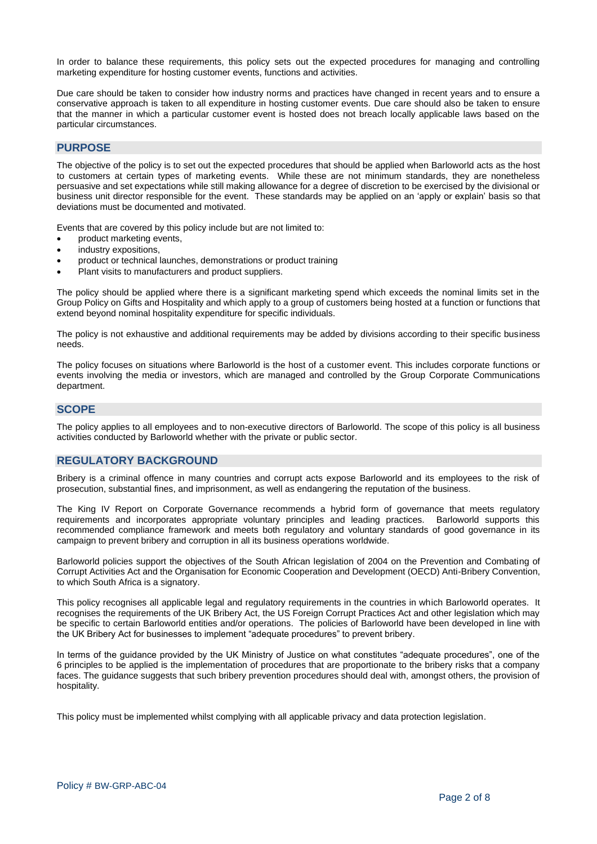In order to balance these requirements, this policy sets out the expected procedures for managing and controlling marketing expenditure for hosting customer events, functions and activities.

Due care should be taken to consider how industry norms and practices have changed in recent years and to ensure a conservative approach is taken to all expenditure in hosting customer events. Due care should also be taken to ensure that the manner in which a particular customer event is hosted does not breach locally applicable laws based on the particular circumstances.

# <span id="page-1-0"></span>**PURPOSE**

The objective of the policy is to set out the expected procedures that should be applied when Barloworld acts as the host to customers at certain types of marketing events. While these are not minimum standards, they are nonetheless persuasive and set expectations while still making allowance for a degree of discretion to be exercised by the divisional or business unit director responsible for the event. These standards may be applied on an 'apply or explain' basis so that deviations must be documented and motivated.

Events that are covered by this policy include but are not limited to:

- product marketing events,
- industry expositions,
- product or technical launches, demonstrations or product training
- Plant visits to manufacturers and product suppliers.

The policy should be applied where there is a significant marketing spend which exceeds the nominal limits set in the Group Policy on Gifts and Hospitality and which apply to a group of customers being hosted at a function or functions that extend beyond nominal hospitality expenditure for specific individuals.

The policy is not exhaustive and additional requirements may be added by divisions according to their specific business needs.

The policy focuses on situations where Barloworld is the host of a customer event. This includes corporate functions or events involving the media or investors, which are managed and controlled by the Group Corporate Communications department.

#### <span id="page-1-1"></span>**SCOPE**

The policy applies to all employees and to non-executive directors of Barloworld. The scope of this policy is all business activities conducted by Barloworld whether with the private or public sector.

# <span id="page-1-2"></span>**REGULATORY BACKGROUND**

Bribery is a criminal offence in many countries and corrupt acts expose Barloworld and its employees to the risk of prosecution, substantial fines, and imprisonment, as well as endangering the reputation of the business.

The King IV Report on Corporate Governance recommends a hybrid form of governance that meets regulatory requirements and incorporates appropriate voluntary principles and leading practices. Barloworld supports this recommended compliance framework and meets both regulatory and voluntary standards of good governance in its campaign to prevent bribery and corruption in all its business operations worldwide.

Barloworld policies support the objectives of the South African legislation of 2004 on the Prevention and Combating of Corrupt Activities Act and the Organisation for Economic Cooperation and Development (OECD) Anti-Bribery Convention, to which South Africa is a signatory.

This policy recognises all applicable legal and regulatory requirements in the countries in which Barloworld operates. It recognises the requirements of the UK Bribery Act, the US Foreign Corrupt Practices Act and other legislation which may be specific to certain Barloworld entities and/or operations. The policies of Barloworld have been developed in line with the UK Bribery Act for businesses to implement "adequate procedures" to prevent bribery.

In terms of the guidance provided by the UK Ministry of Justice on what constitutes "adequate procedures", one of the 6 principles to be applied is the implementation of procedures that are proportionate to the bribery risks that a company faces. The guidance suggests that such bribery prevention procedures should deal with, amongst others, the provision of hospitality.

This policy must be implemented whilst complying with all applicable privacy and data protection legislation.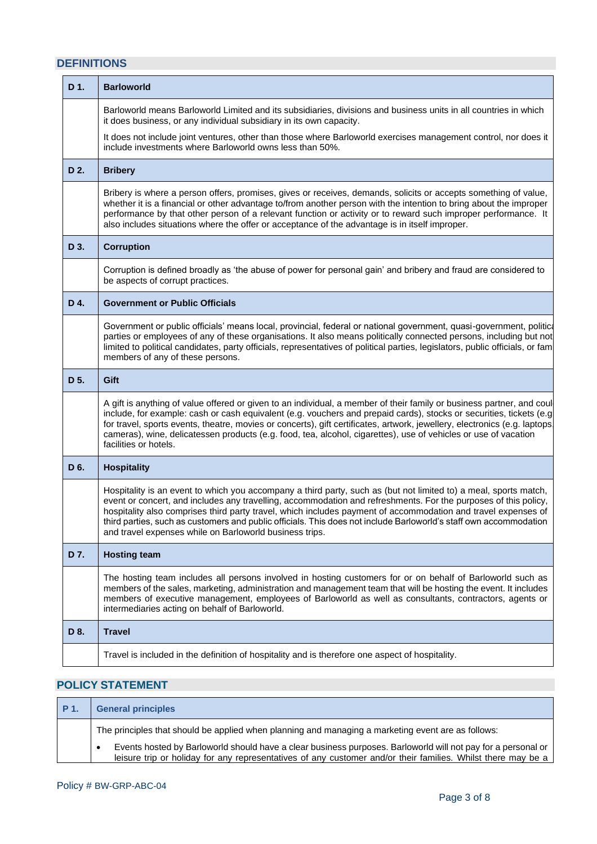# <span id="page-2-0"></span>**DEFINITIONS**

| D 1. | <b>Barloworld</b>                                                                                                                                                                                                                                                                                                                                                                                                                                                                                                                    |  |  |
|------|--------------------------------------------------------------------------------------------------------------------------------------------------------------------------------------------------------------------------------------------------------------------------------------------------------------------------------------------------------------------------------------------------------------------------------------------------------------------------------------------------------------------------------------|--|--|
|      | Barloworld means Barloworld Limited and its subsidiaries, divisions and business units in all countries in which<br>it does business, or any individual subsidiary in its own capacity.                                                                                                                                                                                                                                                                                                                                              |  |  |
|      | It does not include joint ventures, other than those where Barloworld exercises management control, nor does it<br>include investments where Barloworld owns less than 50%.                                                                                                                                                                                                                                                                                                                                                          |  |  |
| D 2. | <b>Bribery</b>                                                                                                                                                                                                                                                                                                                                                                                                                                                                                                                       |  |  |
|      | Bribery is where a person offers, promises, gives or receives, demands, solicits or accepts something of value,<br>whether it is a financial or other advantage to/from another person with the intention to bring about the improper<br>performance by that other person of a relevant function or activity or to reward such improper performance. It<br>also includes situations where the offer or acceptance of the advantage is in itself improper.                                                                            |  |  |
| D 3. | <b>Corruption</b>                                                                                                                                                                                                                                                                                                                                                                                                                                                                                                                    |  |  |
|      | Corruption is defined broadly as 'the abuse of power for personal gain' and bribery and fraud are considered to<br>be aspects of corrupt practices.                                                                                                                                                                                                                                                                                                                                                                                  |  |  |
| D 4. | <b>Government or Public Officials</b>                                                                                                                                                                                                                                                                                                                                                                                                                                                                                                |  |  |
|      | Government or public officials' means local, provincial, federal or national government, quasi-government, politica<br>parties or employees of any of these organisations. It also means politically connected persons, including but not<br>limited to political candidates, party officials, representatives of political parties, legislators, public officials, or fam<br>members of any of these persons.                                                                                                                       |  |  |
| D 5. | Gift                                                                                                                                                                                                                                                                                                                                                                                                                                                                                                                                 |  |  |
|      | A gift is anything of value offered or given to an individual, a member of their family or business partner, and coul<br>include, for example: cash or cash equivalent (e.g. vouchers and prepaid cards), stocks or securities, tickets (e.g<br>for travel, sports events, theatre, movies or concerts), gift certificates, artwork, jewellery, electronics (e.g. laptops,<br>cameras), wine, delicatessen products (e.g. food, tea, alcohol, cigarettes), use of vehicles or use of vacation<br>facilities or hotels.               |  |  |
| D 6. | <b>Hospitality</b>                                                                                                                                                                                                                                                                                                                                                                                                                                                                                                                   |  |  |
|      | Hospitality is an event to which you accompany a third party, such as (but not limited to) a meal, sports match,<br>event or concert, and includes any travelling, accommodation and refreshments. For the purposes of this policy,<br>hospitality also comprises third party travel, which includes payment of accommodation and travel expenses of<br>third parties, such as customers and public officials. This does not include Barloworld's staff own accommodation<br>and travel expenses while on Barloworld business trips. |  |  |
| D 7. | <b>Hosting team</b>                                                                                                                                                                                                                                                                                                                                                                                                                                                                                                                  |  |  |
|      | The hosting team includes all persons involved in hosting customers for or on behalf of Barloworld such as<br>members of the sales, marketing, administration and management team that will be hosting the event. It includes<br>members of executive management, employees of Barloworld as well as consultants, contractors, agents or<br>intermediaries acting on behalf of Barloworld.                                                                                                                                           |  |  |
| D 8. | <b>Travel</b>                                                                                                                                                                                                                                                                                                                                                                                                                                                                                                                        |  |  |
|      | Travel is included in the definition of hospitality and is therefore one aspect of hospitality.                                                                                                                                                                                                                                                                                                                                                                                                                                      |  |  |

# <span id="page-2-1"></span>**POLICY STATEMENT**

| P 1. | <b>General principles</b>                                                                                                                                                                                                    |
|------|------------------------------------------------------------------------------------------------------------------------------------------------------------------------------------------------------------------------------|
|      | The principles that should be applied when planning and managing a marketing event are as follows:                                                                                                                           |
|      | Events hosted by Barloworld should have a clear business purposes. Barloworld will not pay for a personal or<br>leisure trip or holiday for any representatives of any customer and/or their families. Whilst there may be a |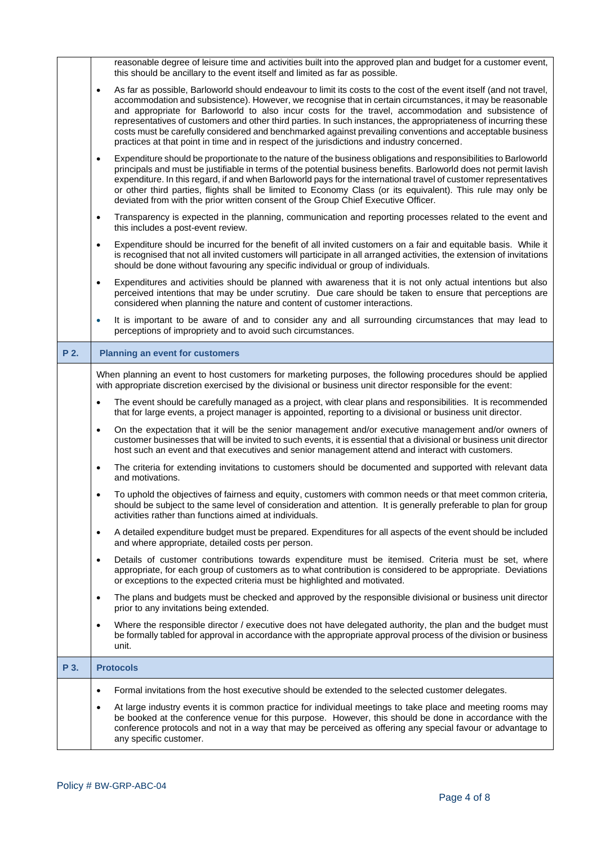|      | reasonable degree of leisure time and activities built into the approved plan and budget for a customer event,<br>this should be ancillary to the event itself and limited as far as possible.                                                                                                                                                                                                                                                                                                                                                                                                                                                                                      |
|------|-------------------------------------------------------------------------------------------------------------------------------------------------------------------------------------------------------------------------------------------------------------------------------------------------------------------------------------------------------------------------------------------------------------------------------------------------------------------------------------------------------------------------------------------------------------------------------------------------------------------------------------------------------------------------------------|
|      | As far as possible, Barloworld should endeavour to limit its costs to the cost of the event itself (and not travel,<br>$\bullet$<br>accommodation and subsistence). However, we recognise that in certain circumstances, it may be reasonable<br>and appropriate for Barloworld to also incur costs for the travel, accommodation and subsistence of<br>representatives of customers and other third parties. In such instances, the appropriateness of incurring these<br>costs must be carefully considered and benchmarked against prevailing conventions and acceptable business<br>practices at that point in time and in respect of the jurisdictions and industry concerned. |
|      | Expenditure should be proportionate to the nature of the business obligations and responsibilities to Barloworld<br>$\bullet$<br>principals and must be justifiable in terms of the potential business benefits. Barloworld does not permit lavish<br>expenditure. In this regard, if and when Barloworld pays for the international travel of customer representatives<br>or other third parties, flights shall be limited to Economy Class (or its equivalent). This rule may only be<br>deviated from with the prior written consent of the Group Chief Executive Officer.                                                                                                       |
|      | Transparency is expected in the planning, communication and reporting processes related to the event and<br>$\bullet$<br>this includes a post-event review.                                                                                                                                                                                                                                                                                                                                                                                                                                                                                                                         |
|      | Expenditure should be incurred for the benefit of all invited customers on a fair and equitable basis. While it<br>$\bullet$<br>is recognised that not all invited customers will participate in all arranged activities, the extension of invitations<br>should be done without favouring any specific individual or group of individuals.                                                                                                                                                                                                                                                                                                                                         |
|      | Expenditures and activities should be planned with awareness that it is not only actual intentions but also<br>$\bullet$<br>perceived intentions that may be under scrutiny. Due care should be taken to ensure that perceptions are<br>considered when planning the nature and content of customer interactions.                                                                                                                                                                                                                                                                                                                                                                   |
|      | It is important to be aware of and to consider any and all surrounding circumstances that may lead to<br>$\bullet$<br>perceptions of impropriety and to avoid such circumstances.                                                                                                                                                                                                                                                                                                                                                                                                                                                                                                   |
| P 2. | <b>Planning an event for customers</b>                                                                                                                                                                                                                                                                                                                                                                                                                                                                                                                                                                                                                                              |
|      | When planning an event to host customers for marketing purposes, the following procedures should be applied<br>with appropriate discretion exercised by the divisional or business unit director responsible for the event:                                                                                                                                                                                                                                                                                                                                                                                                                                                         |
|      | The event should be carefully managed as a project, with clear plans and responsibilities. It is recommended<br>$\bullet$<br>that for large events, a project manager is appointed, reporting to a divisional or business unit director.                                                                                                                                                                                                                                                                                                                                                                                                                                            |
|      | On the expectation that it will be the senior management and/or executive management and/or owners of<br>$\bullet$<br>customer businesses that will be invited to such events, it is essential that a divisional or business unit director<br>host such an event and that executives and senior management attend and interact with customers.                                                                                                                                                                                                                                                                                                                                      |
|      | The criteria for extending invitations to customers should be documented and supported with relevant data<br>$\bullet$<br>and motivations.                                                                                                                                                                                                                                                                                                                                                                                                                                                                                                                                          |
|      | To uphold the objectives of fairness and equity, customers with common needs or that meet common criteria,<br>should be subject to the same level of consideration and attention. It is generally preferable to plan for group<br>activities rather than functions aimed at individuals.                                                                                                                                                                                                                                                                                                                                                                                            |
|      | A detailed expenditure budget must be prepared. Expenditures for all aspects of the event should be included<br>$\bullet$<br>and where appropriate, detailed costs per person.                                                                                                                                                                                                                                                                                                                                                                                                                                                                                                      |
|      | Details of customer contributions towards expenditure must be itemised. Criteria must be set, where<br>$\bullet$<br>appropriate, for each group of customers as to what contribution is considered to be appropriate. Deviations<br>or exceptions to the expected criteria must be highlighted and motivated.                                                                                                                                                                                                                                                                                                                                                                       |
|      | The plans and budgets must be checked and approved by the responsible divisional or business unit director<br>$\bullet$<br>prior to any invitations being extended.                                                                                                                                                                                                                                                                                                                                                                                                                                                                                                                 |
|      | Where the responsible director / executive does not have delegated authority, the plan and the budget must<br>$\bullet$<br>be formally tabled for approval in accordance with the appropriate approval process of the division or business<br>unit.                                                                                                                                                                                                                                                                                                                                                                                                                                 |
| P 3. | <b>Protocols</b>                                                                                                                                                                                                                                                                                                                                                                                                                                                                                                                                                                                                                                                                    |
|      | Formal invitations from the host executive should be extended to the selected customer delegates.<br>$\bullet$                                                                                                                                                                                                                                                                                                                                                                                                                                                                                                                                                                      |
|      | At large industry events it is common practice for individual meetings to take place and meeting rooms may<br>be booked at the conference venue for this purpose. However, this should be done in accordance with the<br>conference protocols and not in a way that may be perceived as offering any special favour or advantage to<br>any specific customer.                                                                                                                                                                                                                                                                                                                       |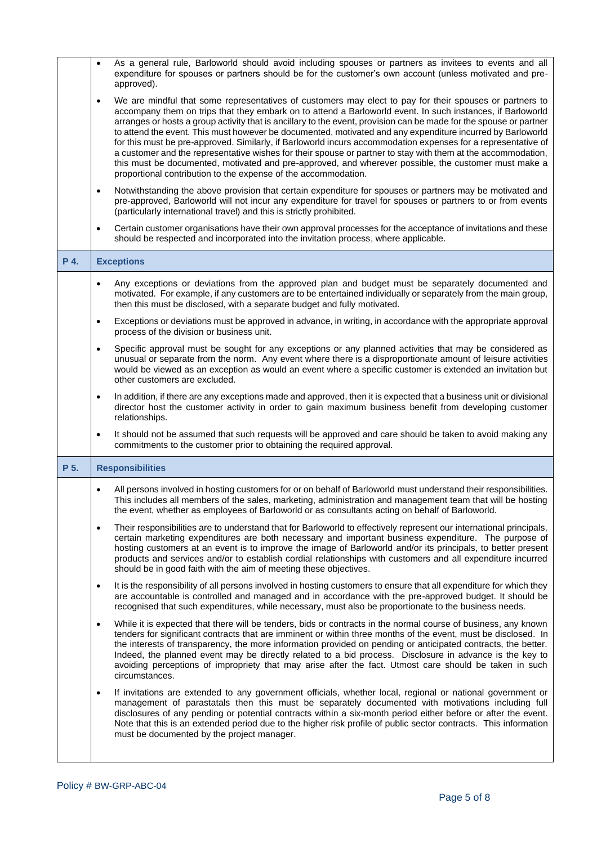|      | As a general rule, Barloworld should avoid including spouses or partners as invitees to events and all<br>$\bullet$<br>expenditure for spouses or partners should be for the customer's own account (unless motivated and pre-<br>approved).                                                                                                                                                                                                                                                                                                                                                                                                                                                                                                                                                                                                                                      |  |  |  |
|------|-----------------------------------------------------------------------------------------------------------------------------------------------------------------------------------------------------------------------------------------------------------------------------------------------------------------------------------------------------------------------------------------------------------------------------------------------------------------------------------------------------------------------------------------------------------------------------------------------------------------------------------------------------------------------------------------------------------------------------------------------------------------------------------------------------------------------------------------------------------------------------------|--|--|--|
|      | We are mindful that some representatives of customers may elect to pay for their spouses or partners to<br>$\bullet$<br>accompany them on trips that they embark on to attend a Barloworld event. In such instances, if Barloworld<br>arranges or hosts a group activity that is ancillary to the event, provision can be made for the spouse or partner<br>to attend the event. This must however be documented, motivated and any expenditure incurred by Barloworld<br>for this must be pre-approved. Similarly, if Barloworld incurs accommodation expenses for a representative of<br>a customer and the representative wishes for their spouse or partner to stay with them at the accommodation,<br>this must be documented, motivated and pre-approved, and wherever possible, the customer must make a<br>proportional contribution to the expense of the accommodation. |  |  |  |
|      | Notwithstanding the above provision that certain expenditure for spouses or partners may be motivated and<br>$\bullet$<br>pre-approved, Barloworld will not incur any expenditure for travel for spouses or partners to or from events<br>(particularly international travel) and this is strictly prohibited.                                                                                                                                                                                                                                                                                                                                                                                                                                                                                                                                                                    |  |  |  |
|      | Certain customer organisations have their own approval processes for the acceptance of invitations and these<br>$\bullet$<br>should be respected and incorporated into the invitation process, where applicable.                                                                                                                                                                                                                                                                                                                                                                                                                                                                                                                                                                                                                                                                  |  |  |  |
| P 4. | <b>Exceptions</b>                                                                                                                                                                                                                                                                                                                                                                                                                                                                                                                                                                                                                                                                                                                                                                                                                                                                 |  |  |  |
|      | Any exceptions or deviations from the approved plan and budget must be separately documented and<br>$\bullet$<br>motivated. For example, if any customers are to be entertained individually or separately from the main group,<br>then this must be disclosed, with a separate budget and fully motivated.                                                                                                                                                                                                                                                                                                                                                                                                                                                                                                                                                                       |  |  |  |
|      | Exceptions or deviations must be approved in advance, in writing, in accordance with the appropriate approval<br>$\bullet$<br>process of the division or business unit.                                                                                                                                                                                                                                                                                                                                                                                                                                                                                                                                                                                                                                                                                                           |  |  |  |
|      | Specific approval must be sought for any exceptions or any planned activities that may be considered as<br>$\bullet$<br>unusual or separate from the norm. Any event where there is a disproportionate amount of leisure activities<br>would be viewed as an exception as would an event where a specific customer is extended an invitation but<br>other customers are excluded.                                                                                                                                                                                                                                                                                                                                                                                                                                                                                                 |  |  |  |
|      | In addition, if there are any exceptions made and approved, then it is expected that a business unit or divisional<br>$\bullet$<br>director host the customer activity in order to gain maximum business benefit from developing customer<br>relationships.                                                                                                                                                                                                                                                                                                                                                                                                                                                                                                                                                                                                                       |  |  |  |
|      | It should not be assumed that such requests will be approved and care should be taken to avoid making any<br>$\bullet$<br>commitments to the customer prior to obtaining the required approval.                                                                                                                                                                                                                                                                                                                                                                                                                                                                                                                                                                                                                                                                                   |  |  |  |
| P 5. | <b>Responsibilities</b>                                                                                                                                                                                                                                                                                                                                                                                                                                                                                                                                                                                                                                                                                                                                                                                                                                                           |  |  |  |
|      | All persons involved in hosting customers for or on behalf of Barloworld must understand their responsibilities.<br>This includes all members of the sales, marketing, administration and management team that will be hosting<br>the event, whether as employees of Barloworld or as consultants acting on behalf of Barloworld.                                                                                                                                                                                                                                                                                                                                                                                                                                                                                                                                                 |  |  |  |
|      | Their responsibilities are to understand that for Barloworld to effectively represent our international principals,<br>$\bullet$<br>certain marketing expenditures are both necessary and important business expenditure. The purpose of<br>hosting customers at an event is to improve the image of Barloworld and/or its principals, to better present<br>products and services and/or to establish cordial relationships with customers and all expenditure incurred<br>should be in good faith with the aim of meeting these objectives.                                                                                                                                                                                                                                                                                                                                      |  |  |  |
|      | It is the responsibility of all persons involved in hosting customers to ensure that all expenditure for which they<br>$\bullet$<br>are accountable is controlled and managed and in accordance with the pre-approved budget. It should be<br>recognised that such expenditures, while necessary, must also be proportionate to the business needs.                                                                                                                                                                                                                                                                                                                                                                                                                                                                                                                               |  |  |  |
|      | While it is expected that there will be tenders, bids or contracts in the normal course of business, any known<br>$\bullet$<br>tenders for significant contracts that are imminent or within three months of the event, must be disclosed. In<br>the interests of transparency, the more information provided on pending or anticipated contracts, the better.<br>Indeed, the planned event may be directly related to a bid process. Disclosure in advance is the key to<br>avoiding perceptions of impropriety that may arise after the fact. Utmost care should be taken in such<br>circumstances.                                                                                                                                                                                                                                                                             |  |  |  |
|      | If invitations are extended to any government officials, whether local, regional or national government or<br>$\bullet$<br>management of parastatals then this must be separately documented with motivations including full<br>disclosures of any pending or potential contracts within a six-month period either before or after the event.<br>Note that this is an extended period due to the higher risk profile of public sector contracts. This information<br>must be documented by the project manager.                                                                                                                                                                                                                                                                                                                                                                   |  |  |  |
|      |                                                                                                                                                                                                                                                                                                                                                                                                                                                                                                                                                                                                                                                                                                                                                                                                                                                                                   |  |  |  |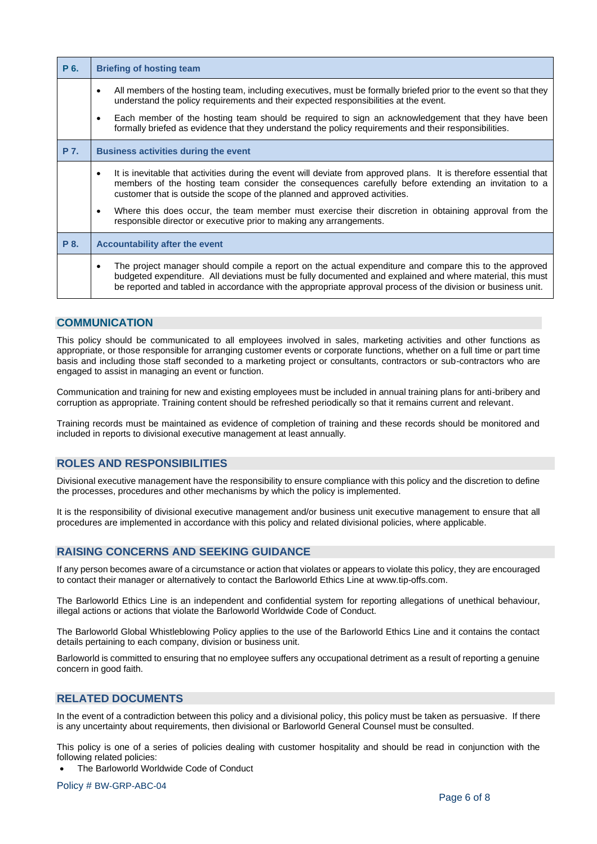| P 6. | <b>Briefing of hosting team</b>                                                                                                                                                                                                                                                                                                                                                                                                    |  |  |  |
|------|------------------------------------------------------------------------------------------------------------------------------------------------------------------------------------------------------------------------------------------------------------------------------------------------------------------------------------------------------------------------------------------------------------------------------------|--|--|--|
|      | All members of the hosting team, including executives, must be formally briefed prior to the event so that they<br>$\bullet$<br>understand the policy requirements and their expected responsibilities at the event.<br>Each member of the hosting team should be required to sign an acknowledgement that they have been<br>formally briefed as evidence that they understand the policy requirements and their responsibilities. |  |  |  |
| P 7. | <b>Business activities during the event</b>                                                                                                                                                                                                                                                                                                                                                                                        |  |  |  |
|      | It is inevitable that activities during the event will deviate from approved plans. It is therefore essential that<br>$\bullet$<br>members of the hosting team consider the consequences carefully before extending an invitation to a<br>customer that is outside the scope of the planned and approved activities.                                                                                                               |  |  |  |
|      | Where this does occur, the team member must exercise their discretion in obtaining approval from the<br>$\bullet$<br>responsible director or executive prior to making any arrangements.                                                                                                                                                                                                                                           |  |  |  |
| P 8. | <b>Accountability after the event</b>                                                                                                                                                                                                                                                                                                                                                                                              |  |  |  |
|      | The project manager should compile a report on the actual expenditure and compare this to the approved<br>٠<br>budgeted expenditure. All deviations must be fully documented and explained and where material, this must<br>be reported and tabled in accordance with the appropriate approval process of the division or business unit.                                                                                           |  |  |  |

# <span id="page-5-0"></span>**COMMUNICATION**

This policy should be communicated to all employees involved in sales, marketing activities and other functions as appropriate, or those responsible for arranging customer events or corporate functions, whether on a full time or part time basis and including those staff seconded to a marketing project or consultants, contractors or sub-contractors who are engaged to assist in managing an event or function.

Communication and training for new and existing employees must be included in annual training plans for anti-bribery and corruption as appropriate. Training content should be refreshed periodically so that it remains current and relevant.

Training records must be maintained as evidence of completion of training and these records should be monitored and included in reports to divisional executive management at least annually.

#### <span id="page-5-1"></span>**ROLES AND RESPONSIBILITIES**

Divisional executive management have the responsibility to ensure compliance with this policy and the discretion to define the processes, procedures and other mechanisms by which the policy is implemented.

It is the responsibility of divisional executive management and/or business unit executive management to ensure that all procedures are implemented in accordance with this policy and related divisional policies, where applicable.

# <span id="page-5-2"></span>**RAISING CONCERNS AND SEEKING GUIDANCE**

If any person becomes aware of a circumstance or action that violates or appears to violate this policy, they are encouraged to contact their manager or alternatively to contact the Barloworld Ethics Line at www.tip-offs.com.

The Barloworld Ethics Line is an independent and confidential system for reporting allegations of unethical behaviour, illegal actions or actions that violate the Barloworld Worldwide Code of Conduct.

The Barloworld Global Whistleblowing Policy applies to the use of the Barloworld Ethics Line and it contains the contact details pertaining to each company, division or business unit.

Barloworld is committed to ensuring that no employee suffers any occupational detriment as a result of reporting a genuine concern in good faith.

### <span id="page-5-3"></span>**RELATED DOCUMENTS**

In the event of a contradiction between this policy and a divisional policy, this policy must be taken as persuasive. If there is any uncertainty about requirements, then divisional or Barloworld General Counsel must be consulted.

This policy is one of a series of policies dealing with customer hospitality and should be read in conjunction with the following related policies:

• The Barloworld Worldwide Code of Conduct

Policy # BW-GRP-ABC-04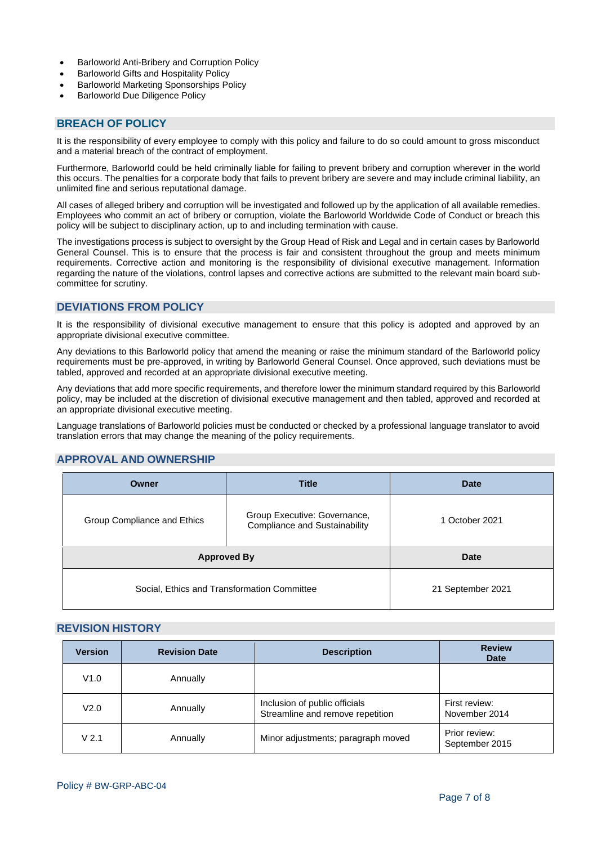- Barloworld Anti-Bribery and Corruption Policy
- Barloworld Gifts and Hospitality Policy
- Barloworld Marketing Sponsorships Policy
- Barloworld Due Diligence Policy

# <span id="page-6-0"></span>**BREACH OF POLICY**

It is the responsibility of every employee to comply with this policy and failure to do so could amount to gross misconduct and a material breach of the contract of employment.

Furthermore, Barloworld could be held criminally liable for failing to prevent bribery and corruption wherever in the world this occurs. The penalties for a corporate body that fails to prevent bribery are severe and may include criminal liability, an unlimited fine and serious reputational damage.

All cases of alleged bribery and corruption will be investigated and followed up by the application of all available remedies. Employees who commit an act of bribery or corruption, violate the Barloworld Worldwide Code of Conduct or breach this policy will be subject to disciplinary action, up to and including termination with cause.

The investigations process is subject to oversight by the Group Head of Risk and Legal and in certain cases by Barloworld General Counsel. This is to ensure that the process is fair and consistent throughout the group and meets minimum requirements. Corrective action and monitoring is the responsibility of divisional executive management. Information regarding the nature of the violations, control lapses and corrective actions are submitted to the relevant main board subcommittee for scrutiny.

# <span id="page-6-1"></span>**DEVIATIONS FROM POLICY**

It is the responsibility of divisional executive management to ensure that this policy is adopted and approved by an appropriate divisional executive committee.

Any deviations to this Barloworld policy that amend the meaning or raise the minimum standard of the Barloworld policy requirements must be pre-approved, in writing by Barloworld General Counsel. Once approved, such deviations must be tabled, approved and recorded at an appropriate divisional executive meeting.

Any deviations that add more specific requirements, and therefore lower the minimum standard required by this Barloworld policy, may be included at the discretion of divisional executive management and then tabled, approved and recorded at an appropriate divisional executive meeting.

Language translations of Barloworld policies must be conducted or checked by a professional language translator to avoid translation errors that may change the meaning of the policy requirements.

# <span id="page-6-2"></span>**APPROVAL AND OWNERSHIP**

| Owner                                       | <b>Title</b>                                                         | <b>Date</b>       |  |
|---------------------------------------------|----------------------------------------------------------------------|-------------------|--|
| Group Compliance and Ethics                 | Group Executive: Governance,<br><b>Compliance and Sustainability</b> | 1 October 2021    |  |
| <b>Approved By</b>                          |                                                                      | <b>Date</b>       |  |
| Social, Ethics and Transformation Committee |                                                                      | 21 September 2021 |  |

# <span id="page-6-3"></span>**REVISION HISTORY**

| <b>Version</b>   | <b>Revision Date</b> | <b>Description</b>                                                | <b>Review</b><br><b>Date</b>    |
|------------------|----------------------|-------------------------------------------------------------------|---------------------------------|
| V1.0             | Annually             |                                                                   |                                 |
| V2.0             | Annually             | Inclusion of public officials<br>Streamline and remove repetition | First review:<br>November 2014  |
| V <sub>2.1</sub> | Annually             | Minor adjustments; paragraph moved                                | Prior review:<br>September 2015 |